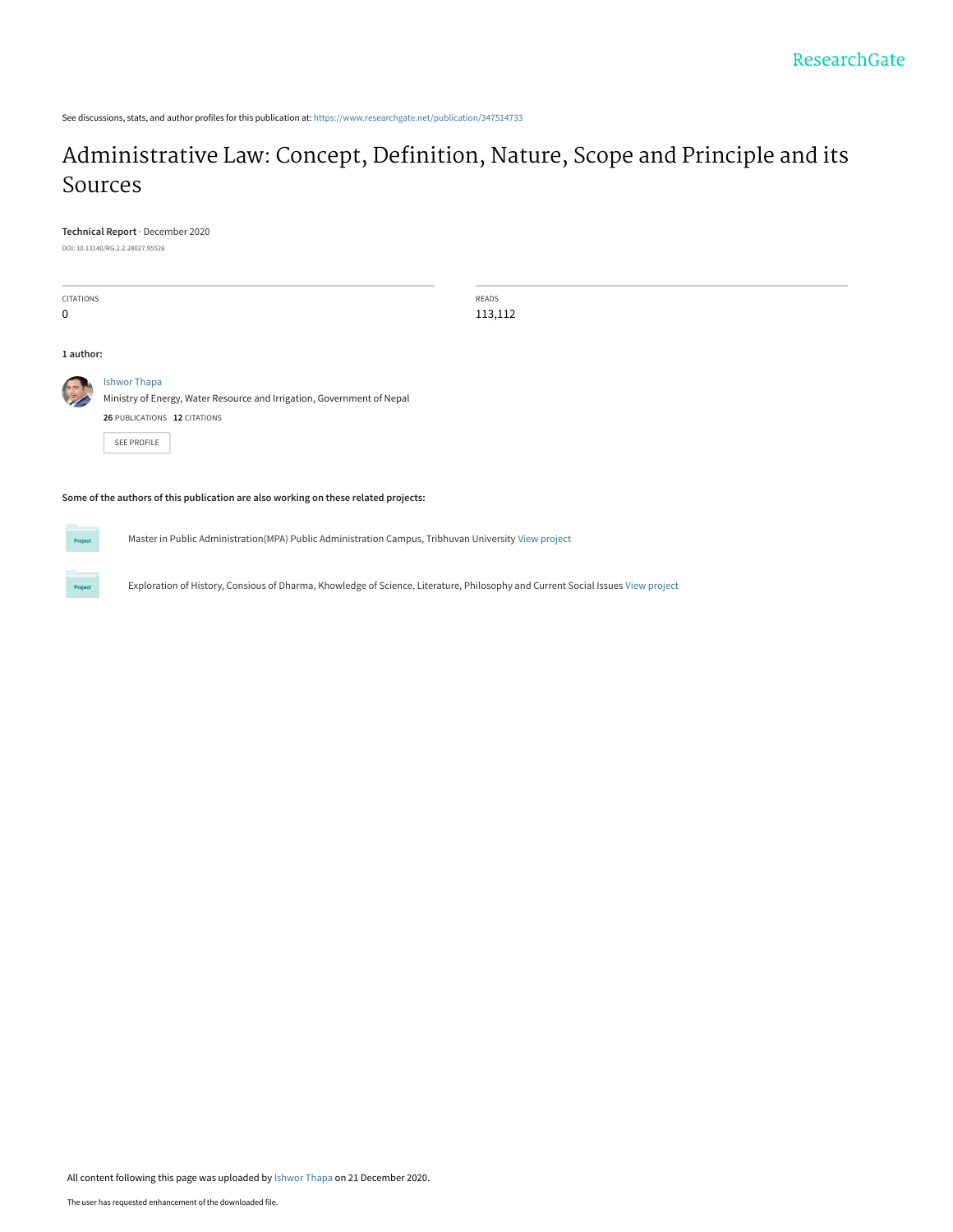See discussions, stats, and author profiles for this publication at: [https://www.researchgate.net/publication/347514733](https://www.researchgate.net/publication/347514733_Administrative_Law_Concept_Definition_Nature_Scope_and_Principle_and_its_Sources?enrichId=rgreq-9319ede2ec10dff86ef0c581d9a7afed-XXX&enrichSource=Y292ZXJQYWdlOzM0NzUxNDczMztBUzo5NzA5NzMxMzgzOTUxMzZAMTYwODUwOTQ0NDYzMg%3D%3D&el=1_x_2&_esc=publicationCoverPdf)

# [Administrative Law: Concept, Definition, Nature, Scope and Principle and its](https://www.researchgate.net/publication/347514733_Administrative_Law_Concept_Definition_Nature_Scope_and_Principle_and_its_Sources?enrichId=rgreq-9319ede2ec10dff86ef0c581d9a7afed-XXX&enrichSource=Y292ZXJQYWdlOzM0NzUxNDczMztBUzo5NzA5NzMxMzgzOTUxMzZAMTYwODUwOTQ0NDYzMg%3D%3D&el=1_x_3&_esc=publicationCoverPdf) Sources

#### **Technical Report** · December 2020

DOI: 10.13140/RG.2.2.28027.95526

CITATIONS 0

READS 113,112

#### **1 author:**



[Ishwor Thapa](https://www.researchgate.net/profile/Ishwor-Thapa?enrichId=rgreq-9319ede2ec10dff86ef0c581d9a7afed-XXX&enrichSource=Y292ZXJQYWdlOzM0NzUxNDczMztBUzo5NzA5NzMxMzgzOTUxMzZAMTYwODUwOTQ0NDYzMg%3D%3D&el=1_x_5&_esc=publicationCoverPdf) Ministry of Energy, Water Resource and Irrigation, Government of Nepal

| <b>26 PUBLICATIONS 12 CITATIONS</b> |  |
|-------------------------------------|--|
| SFF PROFILE                         |  |

**Some of the authors of this publication are also working on these related projects:**

Project

Master in Public Administration(MPA) Public Administration Campus, Tribhuvan University [View project](https://www.researchgate.net/project/Master-in-Public-AdministrationMPA-Public-Administration-Campus-Tribhuvan-University?enrichId=rgreq-9319ede2ec10dff86ef0c581d9a7afed-XXX&enrichSource=Y292ZXJQYWdlOzM0NzUxNDczMztBUzo5NzA5NzMxMzgzOTUxMzZAMTYwODUwOTQ0NDYzMg%3D%3D&el=1_x_9&_esc=publicationCoverPdf)

Exploration of History, Consious of Dharma, Khowledge of Science, Literature, Philosophy and Current Social Issues [View project](https://www.researchgate.net/project/Exploration-of-History-Consious-of-Dharma-Khowledge-of-Science-Literature-Philosophy-and-Current-Social-Issues?enrichId=rgreq-9319ede2ec10dff86ef0c581d9a7afed-XXX&enrichSource=Y292ZXJQYWdlOzM0NzUxNDczMztBUzo5NzA5NzMxMzgzOTUxMzZAMTYwODUwOTQ0NDYzMg%3D%3D&el=1_x_9&_esc=publicationCoverPdf)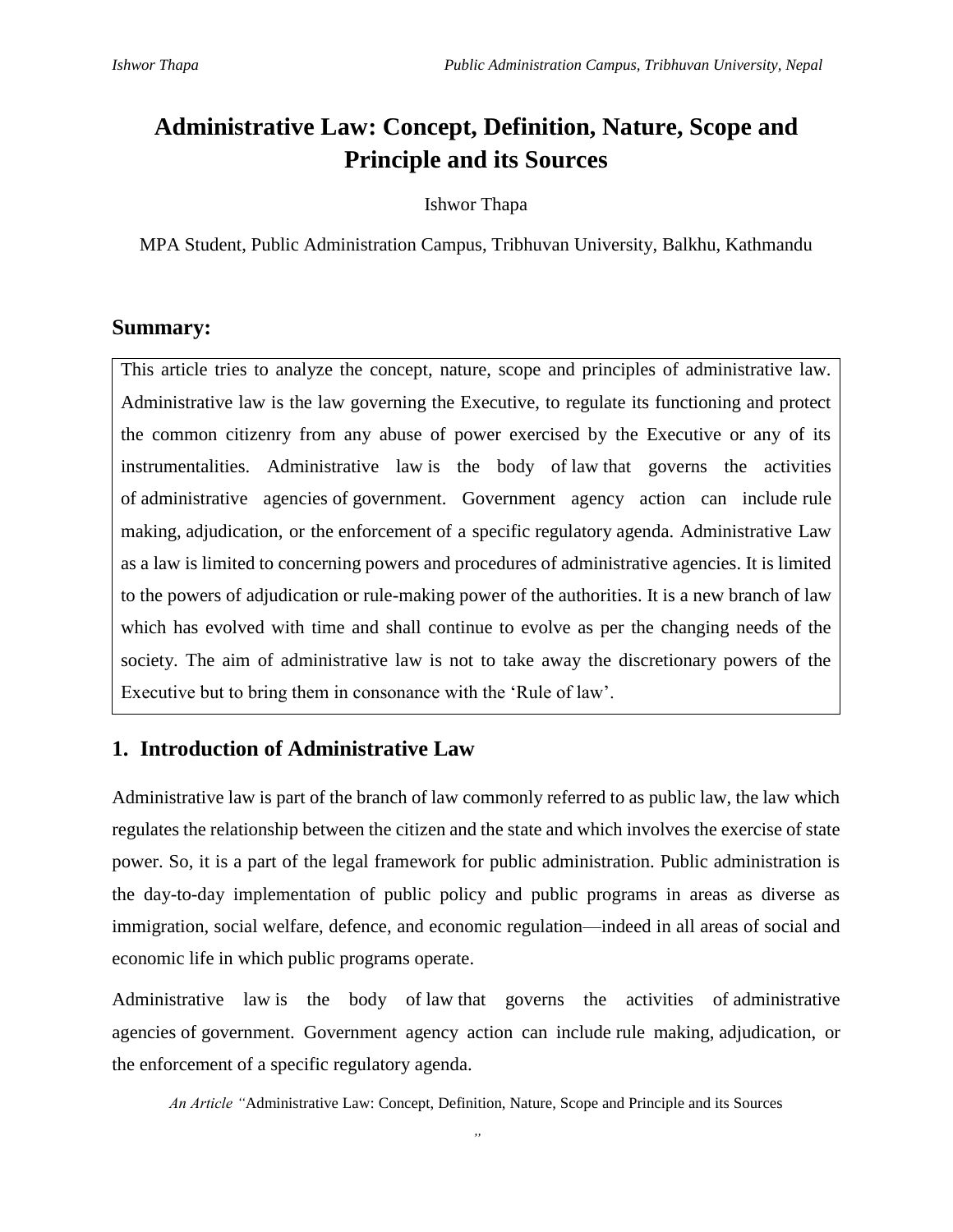# **Administrative Law: Concept, Definition, Nature, Scope and Principle and its Sources**

Ishwor Thapa

MPA Student, Public Administration Campus, Tribhuvan University, Balkhu, Kathmandu

# **Summary:**

This article tries to analyze the concept, nature, scope and principles of administrative law. Administrative law is the law governing the Executive, to regulate its functioning and protect the common citizenry from any abuse of power exercised by the Executive or any of its instrumentalities. Administrative law is the body of [law](https://en.wikipedia.org/wiki/Law) that governs the activities of [administrative agencies](https://en.wikipedia.org/wiki/Government_agency) of [government.](https://en.wikipedia.org/wiki/Forms_of_government) Government agency action can include [rule](https://en.wikipedia.org/wiki/Rule_making)  [making,](https://en.wikipedia.org/wiki/Rule_making) [adjudication,](https://en.wikipedia.org/wiki/Adjudication) or the [enforcement](https://en.wikipedia.org/wiki/Enforcement) of a specific [regulatory](https://en.wikipedia.org/wiki/Regulation) agenda. Administrative Law as a [law](https://www.lawnotes.in/Law) is limited to concerning powers and procedures of administrative agencies. It is limited to the powers of adjudication or rule-making power of the authorities. It is a new branch of law which has evolved with time and shall continue to evolve as per the changing needs of the society. The aim of administrative law is not to take away the discretionary powers of the Executive but to bring them in consonance with the 'Rule of law'.

# **1. Introduction of Administrative Law**

Administrative law is part of the branch of law commonly referred to as public law, the law which regulates the relationship between the citizen and the state and which involves the exercise of state power. So, it is a part of the legal framework for public administration. Public administration is the day-to-day implementation of public policy and public programs in areas as diverse as immigration, social welfare, defence, and economic regulation—indeed in all areas of social and economic life in which public programs operate.

Administrative law is the body of [law](https://en.wikipedia.org/wiki/Law) that governs the activities of [administrative](https://en.wikipedia.org/wiki/Government_agency)  [agencies](https://en.wikipedia.org/wiki/Government_agency) of [government.](https://en.wikipedia.org/wiki/Forms_of_government) Government agency action can include [rule making,](https://en.wikipedia.org/wiki/Rule_making) [adjudication,](https://en.wikipedia.org/wiki/Adjudication) or the [enforcement](https://en.wikipedia.org/wiki/Enforcement) of a specific [regulatory](https://en.wikipedia.org/wiki/Regulation) agenda.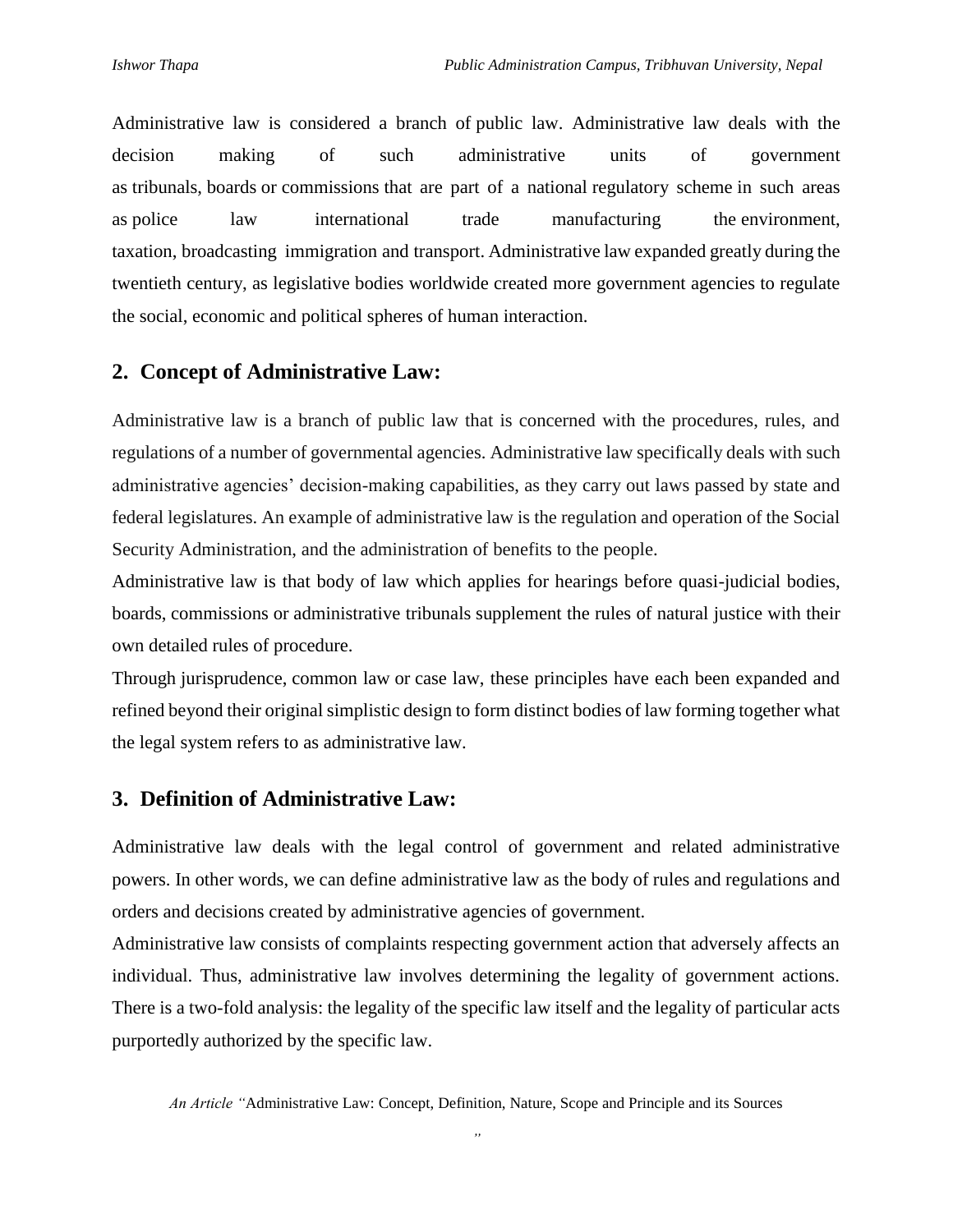Administrative law is considered a branch of [public law.](https://en.wikipedia.org/wiki/Public_law) Administrative law deals with the decision making of such administrative units of government as [tribunals,](https://en.wikipedia.org/wiki/Tribunal) [boards](https://en.wikipedia.org/wiki/Board_of_directors) or [commissions](https://en.wikipedia.org/wiki/Government_agency) that are part of a national [regulatory scheme](https://en.wikipedia.org/wiki/Regulation) in such areas as police law international trade [manufacturing](https://en.wikipedia.org/wiki/Manufacturing) the [environment,](https://en.wikipedia.org/wiki/Environment_(biophysical)) [taxation,](https://en.wikipedia.org/wiki/Taxation) [broadcasting](https://en.wikipedia.org/wiki/Broadcasting) [immigration](https://en.wikipedia.org/wiki/Immigration) and [transport.](https://en.wikipedia.org/wiki/Transport) Administrative law expanded greatly during the twentieth century, as legislative bodies worldwide created more government agencies to regulate the social, economic and political spheres of human interaction.

# **2. Concept of Administrative Law:**

Administrative law is a branch of public law that is concerned with the procedures, rules, and regulations of a number of governmental agencies. Administrative law specifically deals with such administrative agencies' decision-making capabilities, as they carry out laws passed by state and federal legislatures. An example of administrative law is the regulation and operation of the Social Security Administration, and the administration of benefits to the people.

Administrative law is that body of law which applies for hearings before quasi-judicial bodies, boards, [commissions](http://www.duhaime.org/LegalDictionary/C/Commission.aspx) or [administrative tribunals](http://www.duhaime.org/LegalDictionary/A/AdministrativeTribunal.aspx) supplement the rules of natural justice with their own detailed rules of procedure.

Through [jurisprudence,](http://www.duhaime.org/LegalDictionary/J/Jurisprudence.aspx) [common law](http://www.duhaime.org/LegalDictionary/C/CommonLaw.aspx) or [case law,](http://www.duhaime.org/LegalDictionary/C/Caselaw.aspx) these principles have each been expanded and refined beyond their original simplistic design to form distinct bodies of law forming together what the legal system refers to as administrative law.

### **3. Definition of Administrative Law:**

Administrative law deals with the legal control of government and related administrative powers. In other words, we can define administrative law as the body of rules and regulations and orders and decisions created by administrative agencies of government.

Administrative law consists of complaints respecting government action that adversely affects an individual. Thus, administrative law involves determining the legality of government actions. There is a two-fold analysis: the legality of the specific law itself and the legality of particular acts purportedly authorized by the specific law.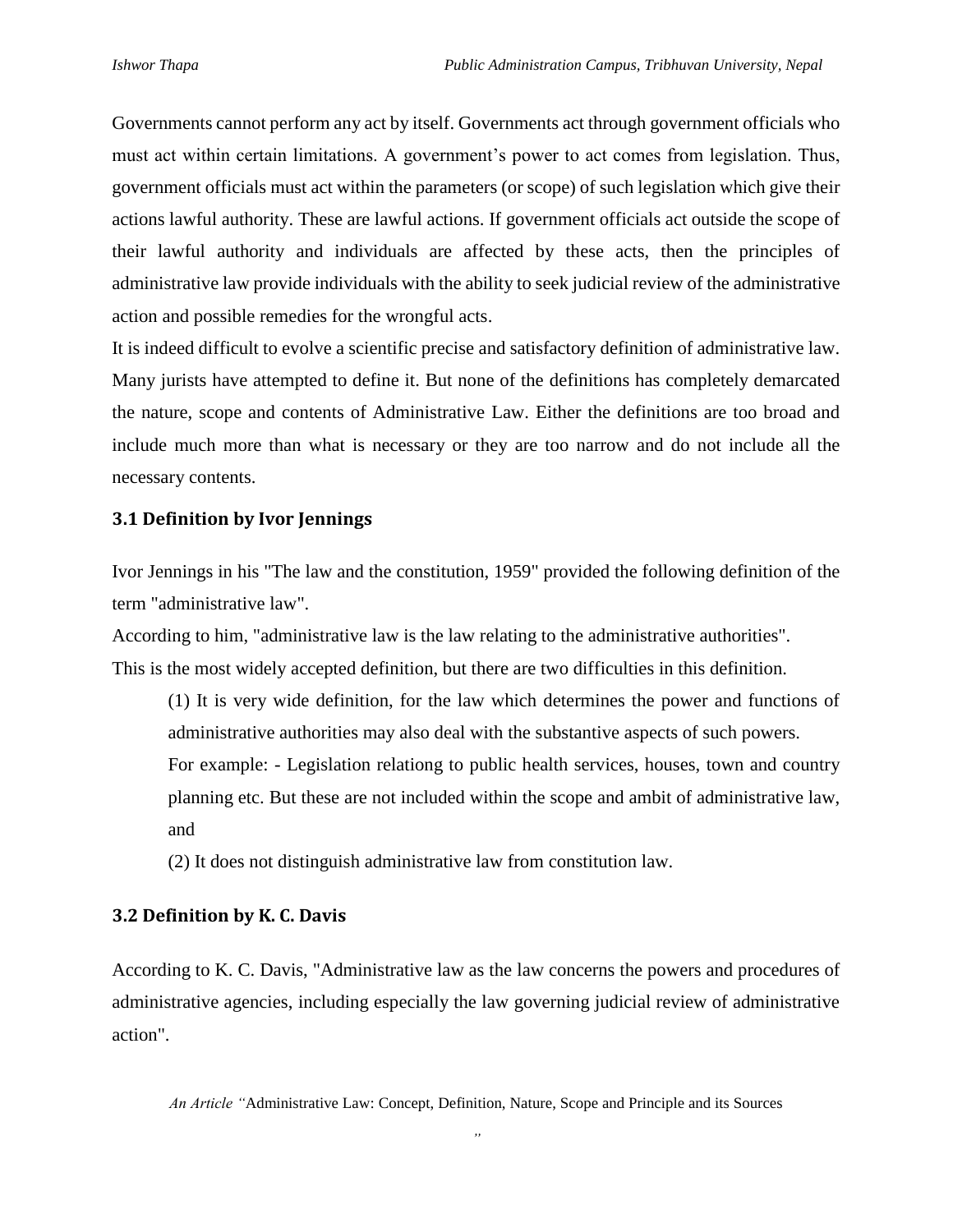Governments cannot perform any act by itself. Governments act through government officials who must act within certain limitations. A government's power to act comes from legislation. Thus, government officials must act within the parameters (or scope) of such legislation which give their actions lawful authority. These are lawful actions. If government officials act outside the scope of their lawful authority and individuals are affected by these acts, then the principles of administrative law provide individuals with the ability to seek judicial review of the administrative action and possible remedies for the wrongful acts.

It is indeed difficult to evolve a scientific precise and satisfactory definition of administrative law. Many jurists have attempted to define it. But none of the definitions has completely demarcated the nature, scope and contents of Administrative Law. Either the definitions are too broad and include much more than what is necessary or they are too narrow and do not include all the necessary contents.

#### **3.1 Definition by Ivor Jennings**

Ivor Jennings in his "The law and the constitution, 1959" provided the following definition of the term "administrative law".

According to him, "administrative law is the law relating to the administrative authorities". This is the most widely accepted definition, but there are two difficulties in this definition.

(1) It is very wide definition, for the law which determines the power and functions of administrative authorities may also deal with the substantive aspects of such powers.

For example: - Legislation relationg to public health services, houses, town and country planning etc. But these are not included within the scope and ambit of administrative law, and

(2) It does not distinguish administrative law from constitution law.

#### **3.2 Definition by K. C. Davis**

According to K. C. Davis, "Administrative law as the law concerns the powers and procedures of administrative agencies, including especially the law governing judicial review of administrative action".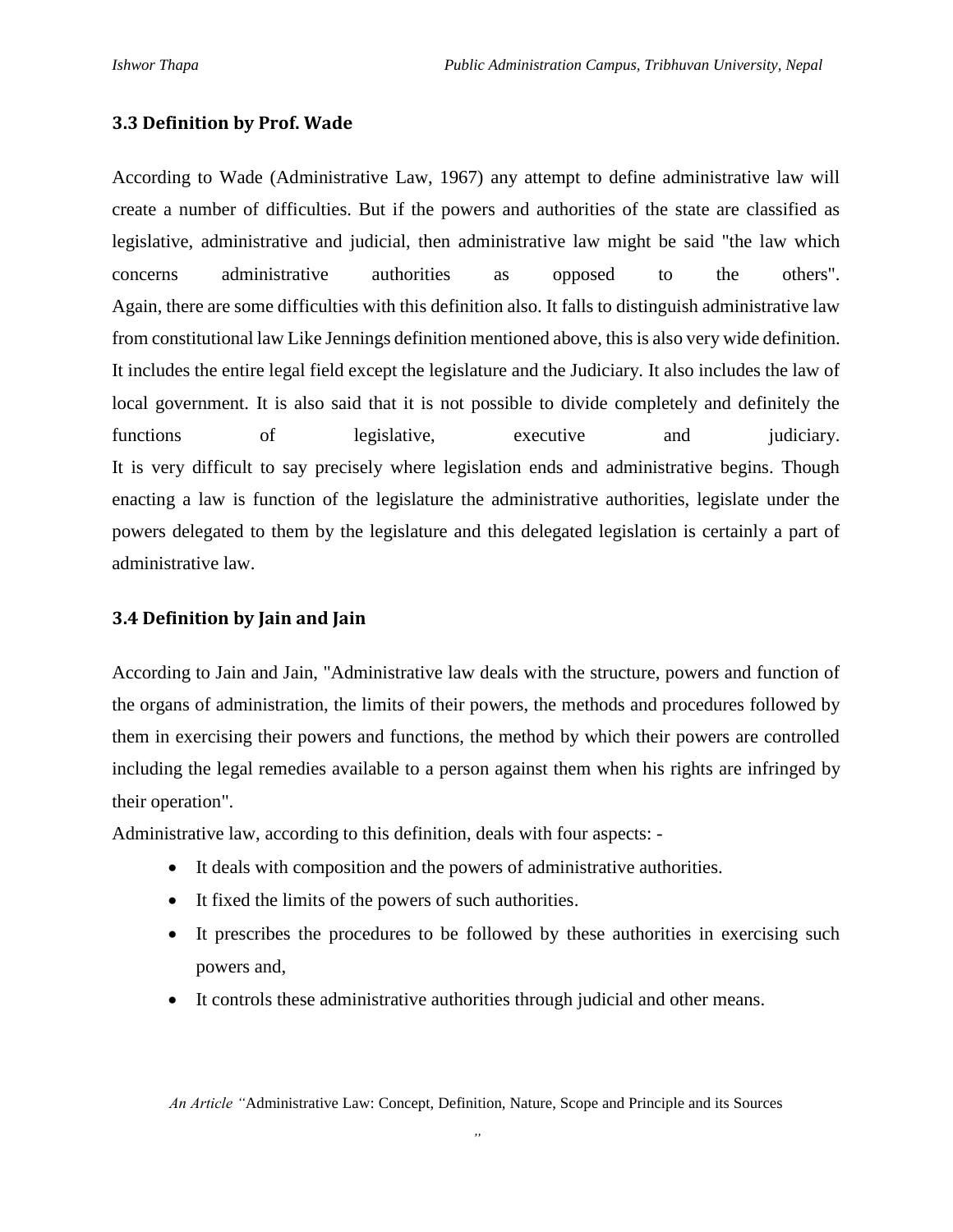#### **3.3 Definition by Prof. Wade**

According to Wade (Administrative Law, 1967) any attempt to define administrative law will create a number of difficulties. But if the powers and authorities of the state are classified as legislative, administrative and judicial, then administrative law might be said "the law which concerns administrative authorities as opposed to the others". Again, there are some difficulties with this definition also. It falls to distinguish administrative law from constitutional law Like Jennings definition mentioned above, this is also very wide definition. It includes the entire legal field except the legislature and the Judiciary. It also includes the law of local government. It is also said that it is not possible to divide completely and definitely the functions of legislative, executive and judiciary. It is very difficult to say precisely where legislation ends and administrative begins. Though enacting a law is function of the legislature the administrative authorities, legislate under the powers delegated to them by the legislature and this delegated legislation is certainly a part of administrative law.

#### **3.4 Definition by Jain and Jain**

According to Jain and Jain, "Administrative law deals with the structure, powers and function of the organs of administration, the limits of their powers, the methods and procedures followed by them in exercising their powers and functions, the method by which their powers are controlled including the legal remedies available to a person against them when his rights are infringed by their operation".

Administrative law, according to this definition, deals with four aspects: -

- It deals with composition and the powers of administrative authorities.
- It fixed the limits of the powers of such authorities.
- It prescribes the procedures to be followed by these authorities in exercising such powers and,
- It controls these administrative authorities through judicial and other means.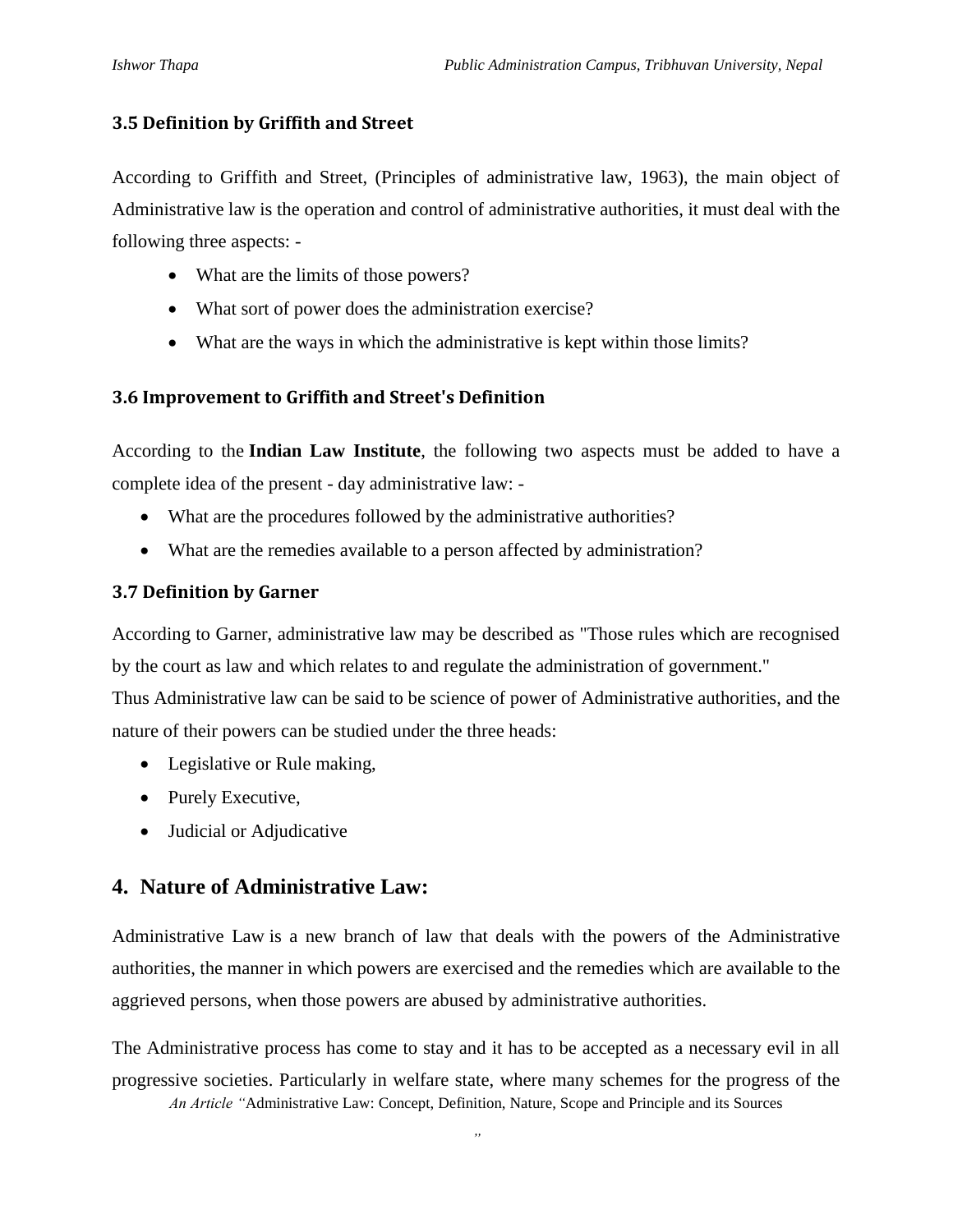### **3.5 Definition by Griffith and Street**

According to Griffith and Street, (Principles of administrative law, 1963), the main object of Administrative law is the operation and control of administrative authorities, it must deal with the following three aspects: -

- What are the limits of those powers?
- What sort of power does the administration exercise?
- What are the ways in which the administrative is kept within those limits?

# **3.6 Improvement to Griffith and Street's Definition**

According to the **Indian Law Institute**, the following two aspects must be added to have a complete idea of the present - day administrative law: -

- What are the procedures followed by the administrative authorities?
- What are the remedies available to a person affected by administration?

# **3.7 Definition by Garner**

According to Garner, administrative law may be described as "Those rules which are recognised by the court as law and which relates to and regulate the administration of government."

Thus Administrative law can be said to be science of power of Administrative authorities, and the nature of their powers can be studied under the three heads:

- Legislative or Rule making,
- Purely Executive,
- Judicial or Adjudicative

# **4. Nature of Administrative Law:**

[Administrative Law](http://kalyan-city.blogspot.com/2010/10/concept-of-administrative-law.html) is a new branch of law that deals with the powers of the Administrative authorities, the manner in which powers are exercised and the remedies which are available to the aggrieved persons, when those powers are abused by administrative authorities.

*An Article "*Administrative Law: Concept, Definition, Nature, Scope and Principle and its Sources The Administrative process has come to stay and it has to be accepted as a necessary evil in all progressive societies. Particularly in welfare state, where many schemes for the progress of the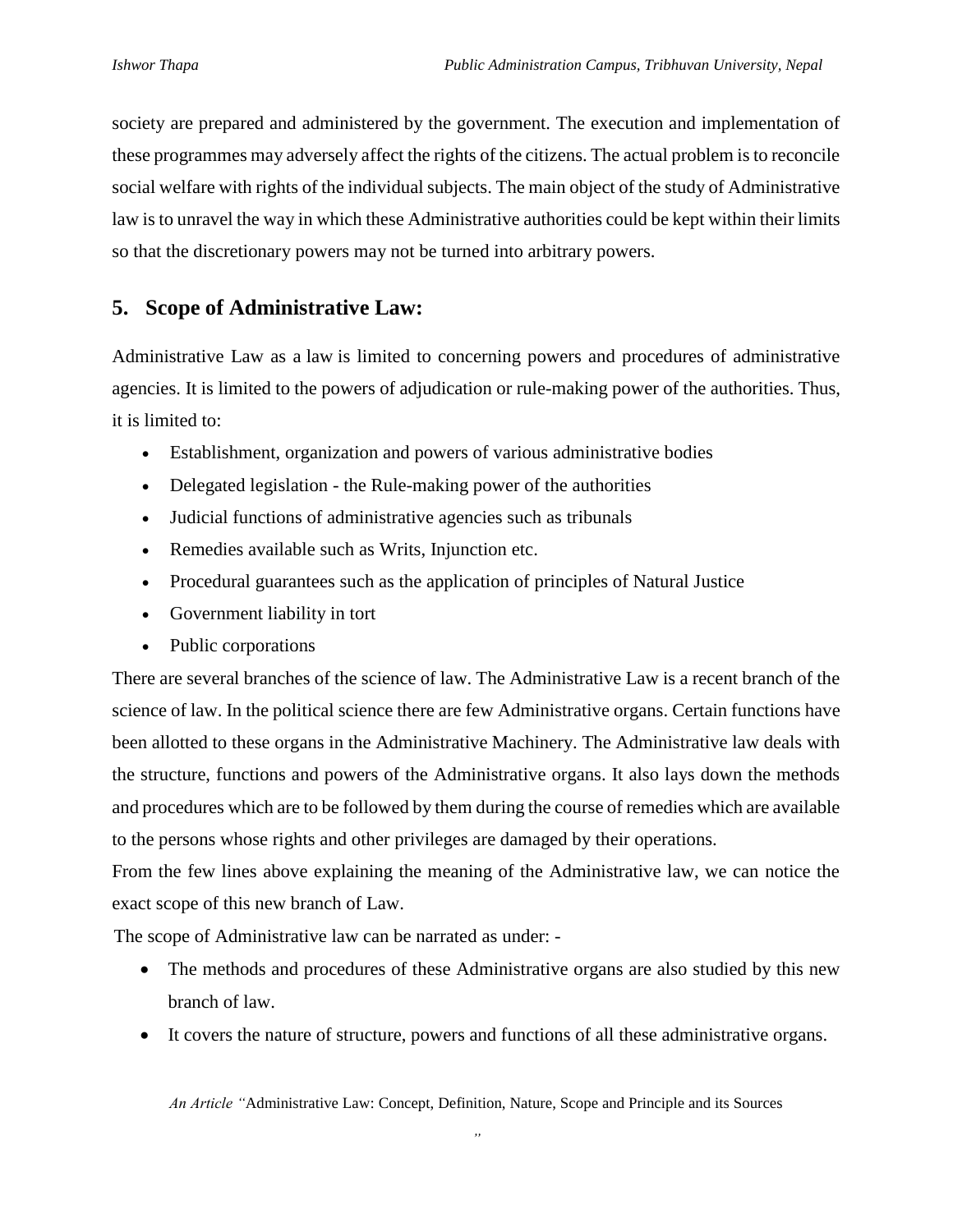society are prepared and administered by the government. The execution and implementation of these programmes may adversely affect the rights of the citizens. The actual problem is to reconcile social welfare with rights of the individual subjects. The main object of the study of Administrative law is to unravel the way in which these Administrative authorities could be kept within their limits so that the discretionary powers may not be turned into arbitrary powers.

# **5. Scope of Administrative Law:**

Administrative Law as a [law](https://www.lawnotes.in/Law) is limited to concerning powers and procedures of administrative agencies. It is limited to the powers of adjudication or rule-making power of the authorities. Thus, it is limited to:

- Establishment, organization and powers of various administrative bodies
- [Delegated legislation](https://www.lawnotes.in/Delegated_legislation) the Rule-making power of the authorities
- Judicial functions of administrative agencies such as [tribunals](https://www.lawnotes.in/Tribunal)
- Remedies available such as [Writs,](https://www.lawnotes.in/Writ) [Injunction](https://www.lawnotes.in/Injunction) etc.
- Procedural guarantees such as the application of [principles of Natural](https://www.lawnotes.in/Principles_of_Natural_Justice) Justice
- Government liability in tort
- Public corporations

There are several branches of the science of law. The Administrative Law is a recent branch of the science of law. In the political science there are few Administrative organs. Certain functions have been allotted to these organs in the Administrative Machinery. The Administrative law deals with the structure, functions and powers of the Administrative organs. It also lays down the methods and procedures which are to be followed by them during the course of remedies which are available to the persons whose rights and other privileges are damaged by their operations.

From the few lines above explaining the meaning of the Administrative law, we can notice the exact scope of this new branch of Law.

The scope of Administrative law can be narrated as under: -

- The methods and procedures of these Administrative organs are also studied by this new branch of law.
- It covers the nature of structure, powers and functions of all these administrative organs.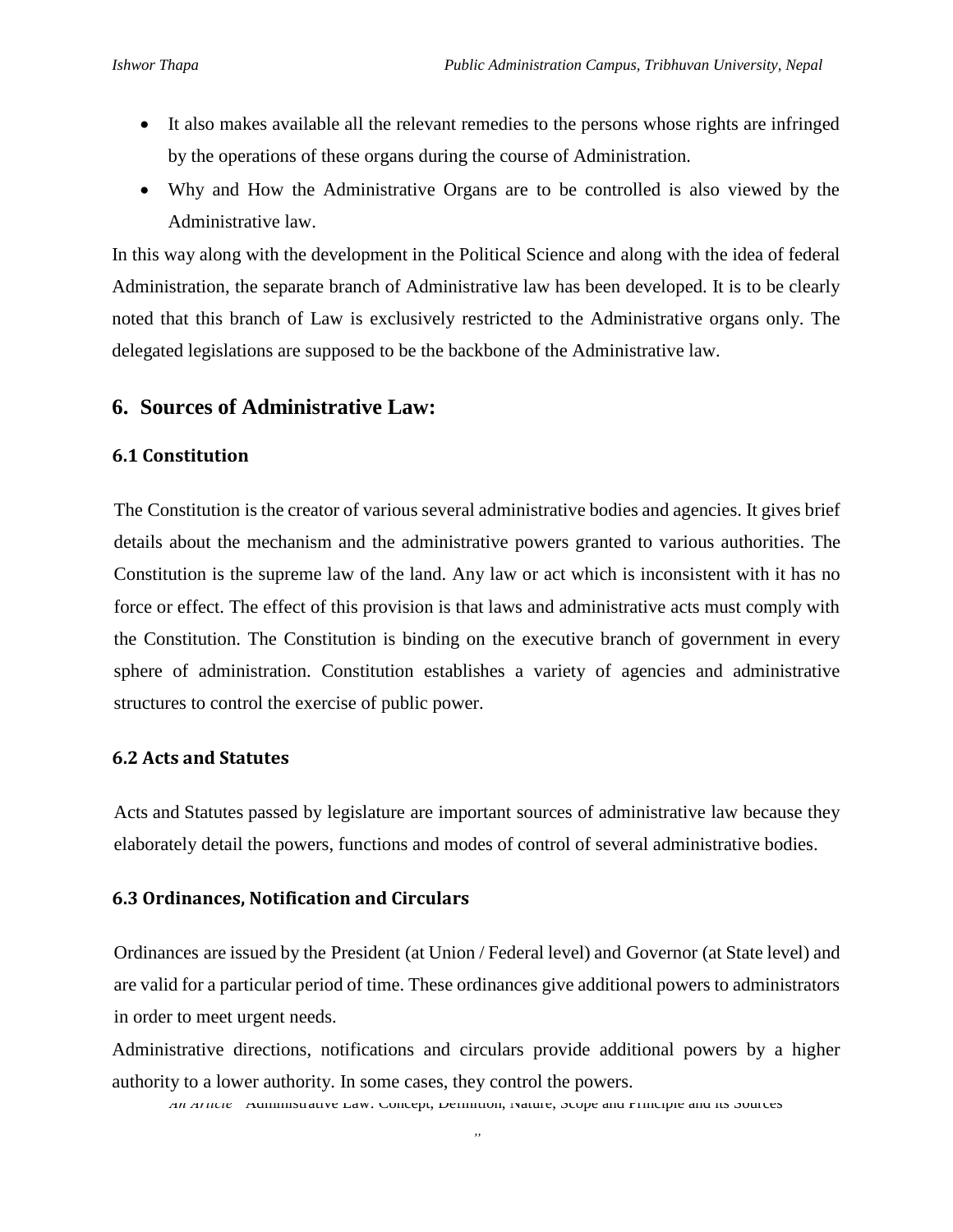- It also makes available all the relevant remedies to the persons whose rights are infringed by the operations of these organs during the course of Administration.
- Why and How the Administrative Organs are to be controlled is also viewed by the Administrative law.

In this way along with the development in the Political Science and along with the idea of federal Administration, the separate branch of Administrative law has been developed. It is to be clearly noted that this branch of Law is exclusively restricted to the Administrative organs only. The delegated legislations are supposed to be the backbone of the Administrative law.

# **6. Sources of Administrative Law:**

#### **6.1 Constitution**

The [Constitution](https://www.lawnotes.in/Constitution) is the creator of various several administrative bodies and agencies. It gives brief details about the mechanism and the administrative powers granted to various authorities. The Constitution is the supreme law of the land. Any law or act which is inconsistent with it has no force or effect. The effect of this provision is that laws and administrative acts must comply with the Constitution. The Constitution is binding on the executive branch of government in every sphere of administration. Constitution establishes a variety of agencies and administrative structures to control the exercise of public power.

#### **6.2 Acts and Statutes**

[Acts](https://www.lawnotes.in/Act) and [Statutes](https://www.lawnotes.in/Statute) passed by legislature are important sources of administrative law because they elaborately detail the powers, functions and modes of control of several administrative bodies.

#### **6.3 Ordinances, Notification and Circulars**

[Ordinances](https://www.lawnotes.in/Ordinance) are issued by the [President](https://www.lawnotes.in/President) (at Union / Federal level) and [Governor](https://www.lawnotes.in/Governor) (at State level) and are valid for a particular period of time. These ordinances give additional powers to administrators in order to meet urgent needs.

Administrative directions, notifications and circulars provide additional powers by a higher authority to a lower authority. In some cases, they control the powers.

*An Article "*Administrative Law: Concept, Definition, Nature, Scope and Principle and its Sources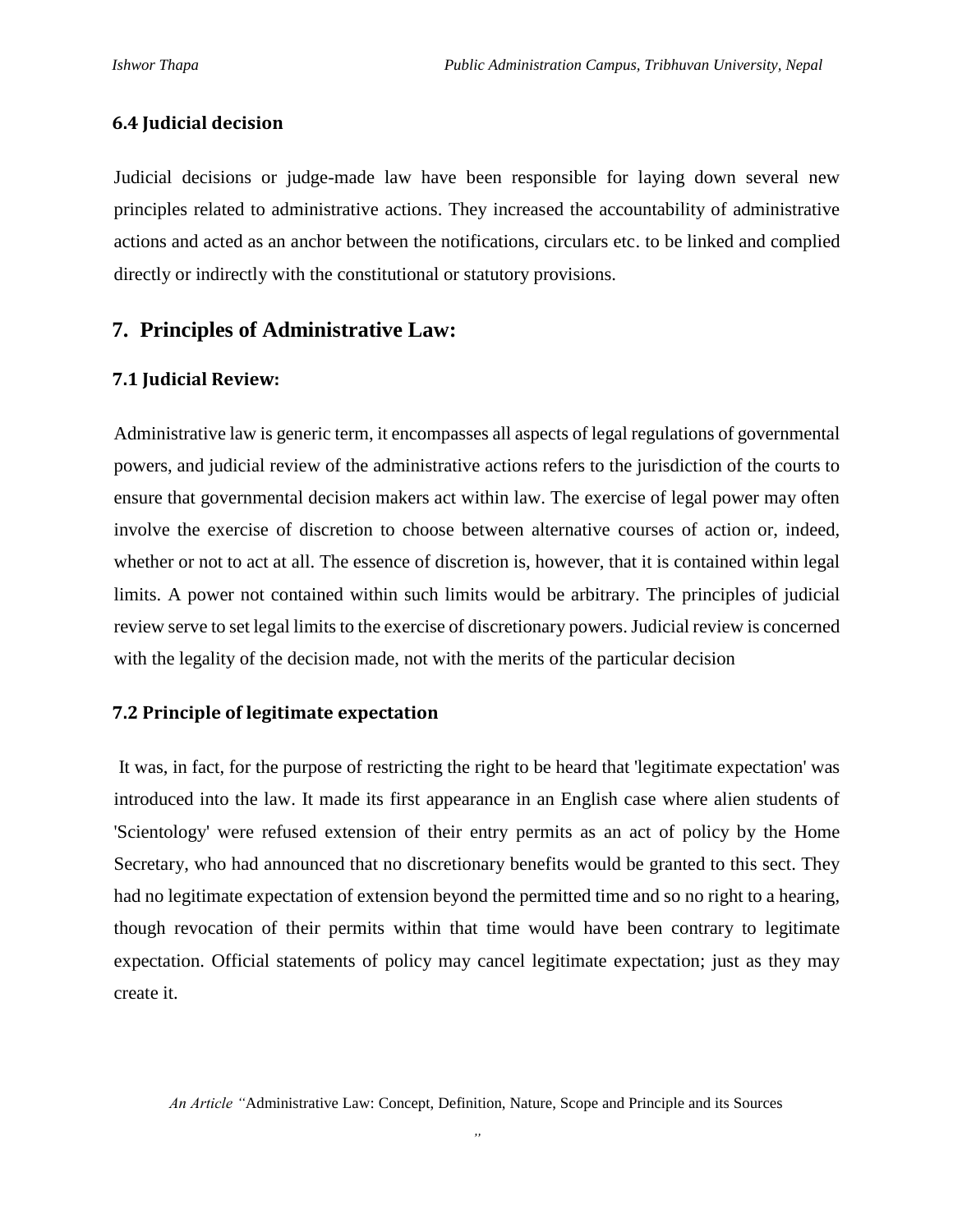#### **6.4 Judicial decision**

Judicial decisions or judge-made law have been responsible for laying down several new principles related to administrative actions. They increased the accountability of administrative actions and acted as an anchor between the notifications, circulars etc. to be linked and complied directly or indirectly with the constitutional or statutory provisions.

# **7. Principles of Administrative Law:**

#### **7.1 Judicial Review:**

Administrative law is generic term, it encompasses all aspects of legal regulations of governmental powers, and judicial review of the administrative actions refers to the jurisdiction of the courts to ensure that governmental decision makers act within law. The exercise of legal power may often involve the exercise of discretion to choose between alternative courses of action or, indeed, whether or not to act at all. The essence of discretion is, however, that it is contained within legal limits. A power not contained within such limits would be arbitrary. The principles of judicial review serve to set legal limits to the exercise of discretionary powers. Judicial review is concerned with the legality of the decision made, not with the merits of the particular decision

#### **7.2 Principle of legitimate expectation**

It was, in fact, for the purpose of restricting the right to be heard that 'legitimate expectation' was introduced into the law. It made its first appearance in an English case where alien students of 'Scientology' were refused extension of their entry permits as an act of policy by the Home Secretary, who had announced that no discretionary benefits would be granted to this sect. They had no legitimate expectation of extension beyond the permitted time and so no right to a hearing, though revocation of their permits within that time would have been contrary to legitimate expectation. Official statements of policy may cancel legitimate expectation; just as they may create it.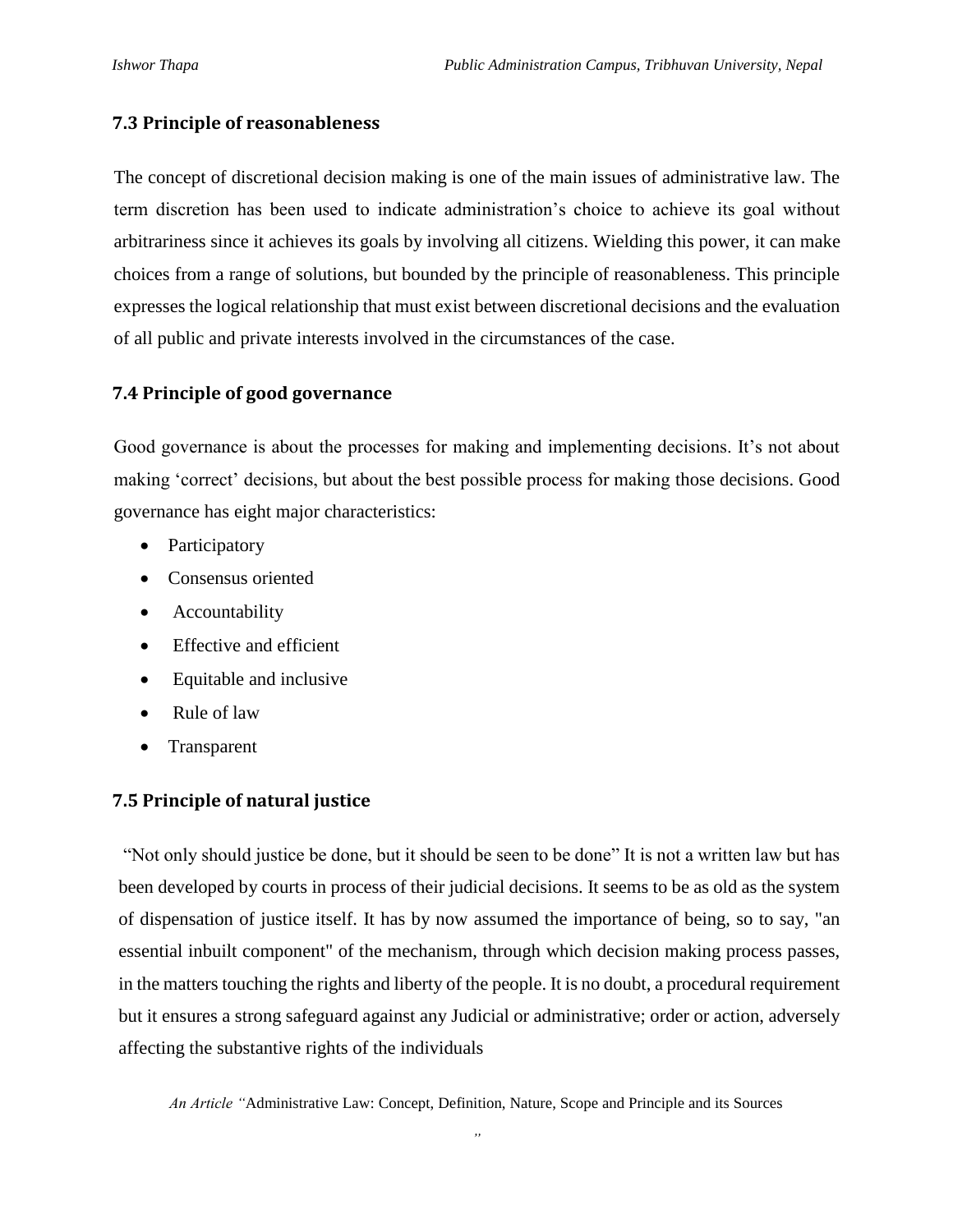### **7.3 Principle of reasonableness**

The concept of discretional decision making is one of the main issues of administrative law. The term discretion has been used to indicate administration's choice to achieve its goal without arbitrariness since it achieves its goals by involving all citizens. Wielding this power, it can make choices from a range of solutions, but bounded by the principle of reasonableness. This principle expresses the logical relationship that must exist between discretional decisions and the evaluation of all public and private interests involved in the circumstances of the case.

# **7.4 Principle of good governance**

Good governance is about the processes for making and implementing decisions. It's not about making 'correct' decisions, but about the best possible process for making those decisions. Good governance has eight major characteristics:

- Participatory
- Consensus oriented
- Accountability
- Effective and efficient
- Equitable and inclusive
- Rule of law
- Transparent

# **7.5 Principle of natural justice**

"Not only should justice be done, but it should be seen to be done" It is not a written law but has been developed by courts in process of their judicial decisions. It seems to be as old as the system of dispensation of justice itself. It has by now assumed the importance of being, so to say, "an essential inbuilt component" of the mechanism, through which decision making process passes, in the matters touching the rights and liberty of the people. It is no doubt, a procedural requirement but it ensures a strong safeguard against any Judicial or administrative; order or action, adversely affecting the substantive rights of the individuals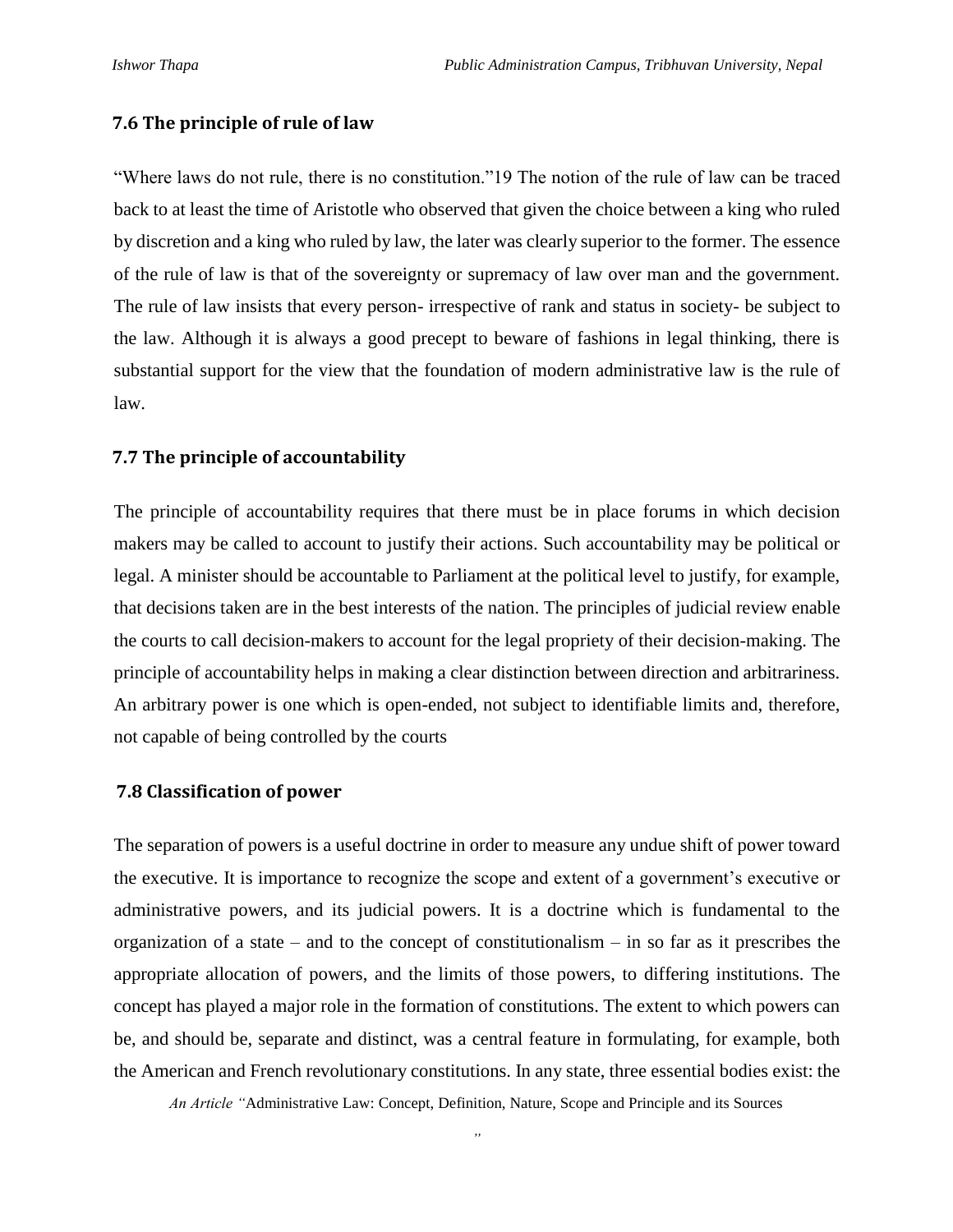### **7.6 The principle of rule of law**

"Where laws do not rule, there is no constitution."19 The notion of the rule of law can be traced back to at least the time of Aristotle who observed that given the choice between a king who ruled by discretion and a king who ruled by law, the later was clearly superior to the former. The essence of the rule of law is that of the sovereignty or supremacy of law over man and the government. The rule of law insists that every person- irrespective of rank and status in society- be subject to the law. Although it is always a good precept to beware of fashions in legal thinking, there is substantial support for the view that the foundation of modern administrative law is the rule of law.

#### **7.7 The principle of accountability**

The principle of accountability requires that there must be in place forums in which decision makers may be called to account to justify their actions. Such accountability may be political or legal. A minister should be accountable to Parliament at the political level to justify, for example, that decisions taken are in the best interests of the nation. The principles of judicial review enable the courts to call decision-makers to account for the legal propriety of their decision-making. The principle of accountability helps in making a clear distinction between direction and arbitrariness. An arbitrary power is one which is open-ended, not subject to identifiable limits and, therefore, not capable of being controlled by the courts

#### **7.8 Classification of power**

The separation of powers is a useful doctrine in order to measure any undue shift of power toward the executive. It is importance to recognize the scope and extent of a government's executive or administrative powers, and its judicial powers. It is a doctrine which is fundamental to the organization of a state – and to the concept of constitutionalism – in so far as it prescribes the appropriate allocation of powers, and the limits of those powers, to differing institutions. The concept has played a major role in the formation of constitutions. The extent to which powers can be, and should be, separate and distinct, was a central feature in formulating, for example, both the American and French revolutionary constitutions. In any state, three essential bodies exist: the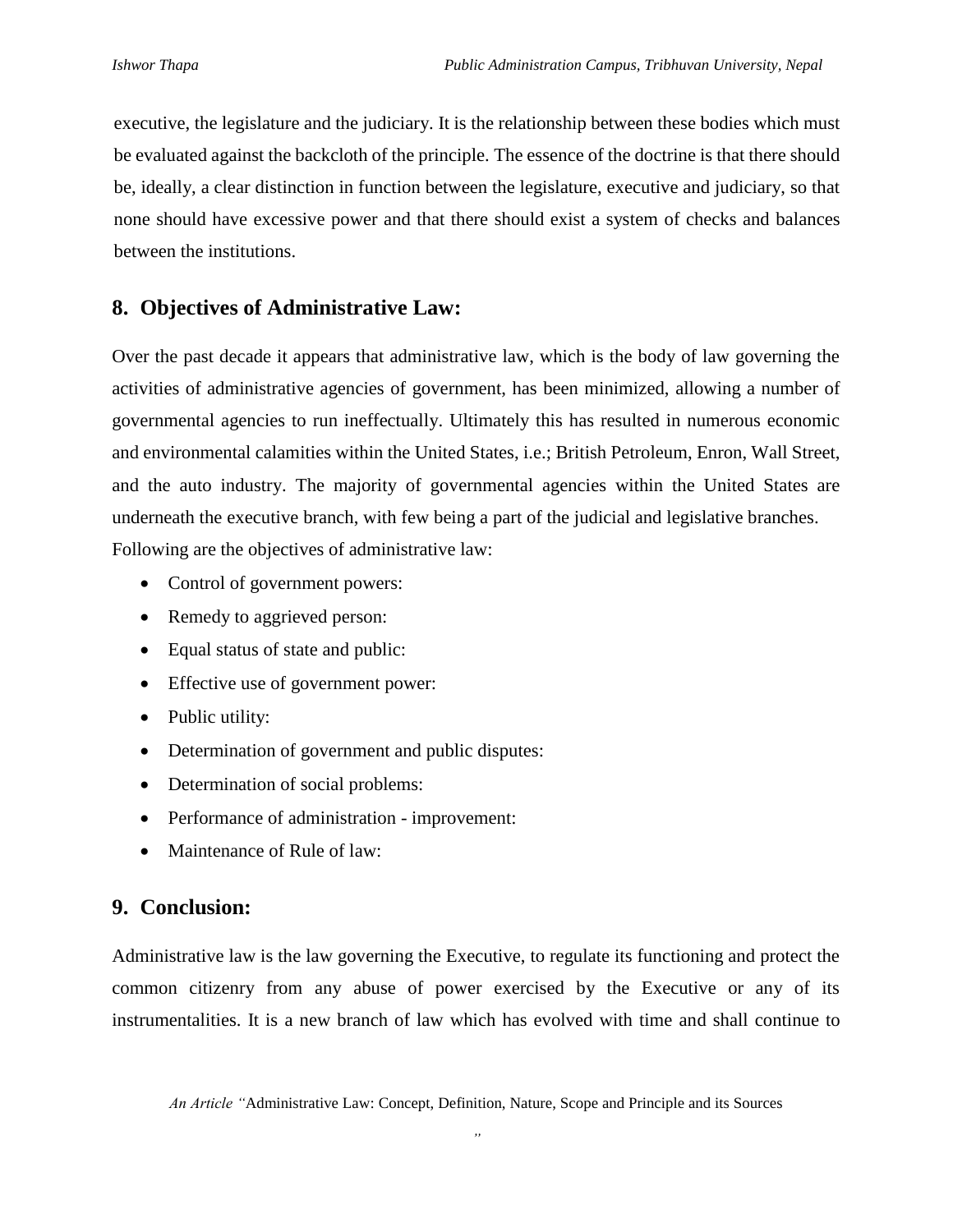executive, the legislature and the judiciary. It is the relationship between these bodies which must be evaluated against the backcloth of the principle. The essence of the doctrine is that there should be, ideally, a clear distinction in function between the legislature, executive and judiciary, so that none should have excessive power and that there should exist a system of checks and balances between the institutions.

# **8. Objectives of Administrative Law:**

Over the past decade it appears that administrative law, which is the body of law governing the activities of administrative agencies of government, has been minimized, allowing a number of governmental agencies to run ineffectually. Ultimately this has resulted in numerous economic and environmental calamities within the United States, i.e.; British Petroleum, Enron, Wall Street, and the auto industry. The majority of governmental agencies within the United States are underneath the executive branch, with few being a part of the judicial and legislative branches. Following are the objectives of administrative law:

- Control of government powers:
- Remedy to aggrieved person:
- Equal status of state and public:
- Effective use of government power:
- Public utility:
- Determination of government and public disputes:
- Determination of social problems:
- Performance of administration improvement:
- Maintenance of Rule of law:

# **9. Conclusion:**

Administrative law is the law governing the Executive, to regulate its functioning and protect the common citizenry from any abuse of power exercised by the Executive or any of its instrumentalities. It is a new branch of law which has evolved with time and shall continue to

*An Article "*Administrative Law: Concept, Definition, Nature, Scope and Principle and its Sources